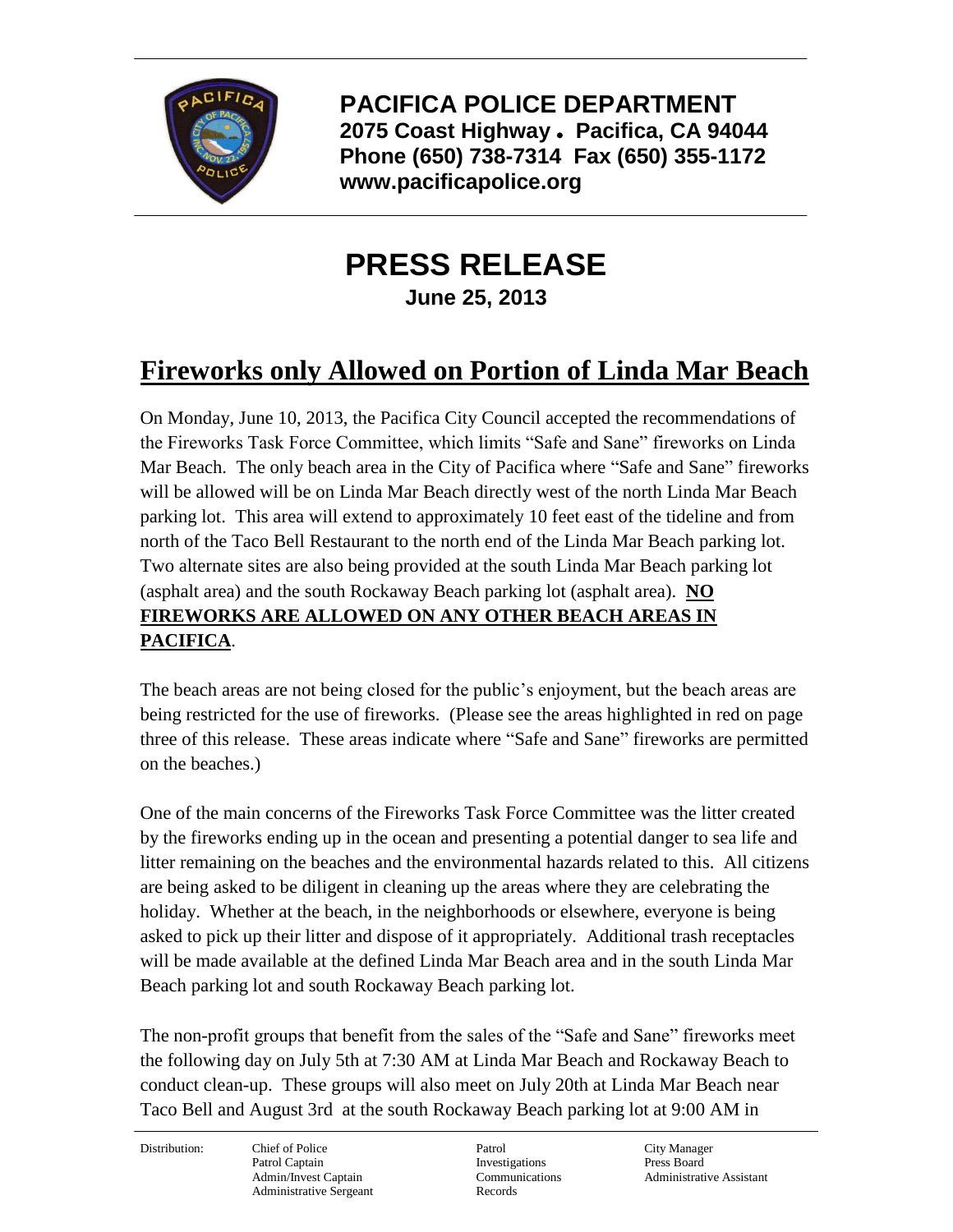

**PACIFICA POLICE DEPARTMENT 2075 Coast Highway Pacifica, CA 94044 Phone (650) 738-7314 Fax (650) 355-1172 www.pacificapolice.org**

## **PRESS RELEASE**

**June 25, 2013**

## **Fireworks only Allowed on Portion of Linda Mar Beach**

On Monday, June 10, 2013, the Pacifica City Council accepted the recommendations of the Fireworks Task Force Committee, which limits "Safe and Sane" fireworks on Linda Mar Beach. The only beach area in the City of Pacifica where "Safe and Sane" fireworks will be allowed will be on Linda Mar Beach directly west of the north Linda Mar Beach parking lot. This area will extend to approximately 10 feet east of the tideline and from north of the Taco Bell Restaurant to the north end of the Linda Mar Beach parking lot. Two alternate sites are also being provided at the south Linda Mar Beach parking lot (asphalt area) and the south Rockaway Beach parking lot (asphalt area). **NO FIREWORKS ARE ALLOWED ON ANY OTHER BEACH AREAS IN PACIFICA**.

The beach areas are not being closed for the public's enjoyment, but the beach areas are being restricted for the use of fireworks. (Please see the areas highlighted in red on page three of this release. These areas indicate where "Safe and Sane" fireworks are permitted on the beaches.)

One of the main concerns of the Fireworks Task Force Committee was the litter created by the fireworks ending up in the ocean and presenting a potential danger to sea life and litter remaining on the beaches and the environmental hazards related to this. All citizens are being asked to be diligent in cleaning up the areas where they are celebrating the holiday. Whether at the beach, in the neighborhoods or elsewhere, everyone is being asked to pick up their litter and dispose of it appropriately. Additional trash receptacles will be made available at the defined Linda Mar Beach area and in the south Linda Mar Beach parking lot and south Rockaway Beach parking lot.

The non-profit groups that benefit from the sales of the "Safe and Sane" fireworks meet the following day on July 5th at 7:30 AM at Linda Mar Beach and Rockaway Beach to conduct clean-up. These groups will also meet on July 20th at Linda Mar Beach near Taco Bell and August 3rd at the south Rockaway Beach parking lot at 9:00 AM in

Distribution: Chief of Police Patrol Patrol City Manager Patrol Captain **Investigations** Press Board Administrative Sergeant Records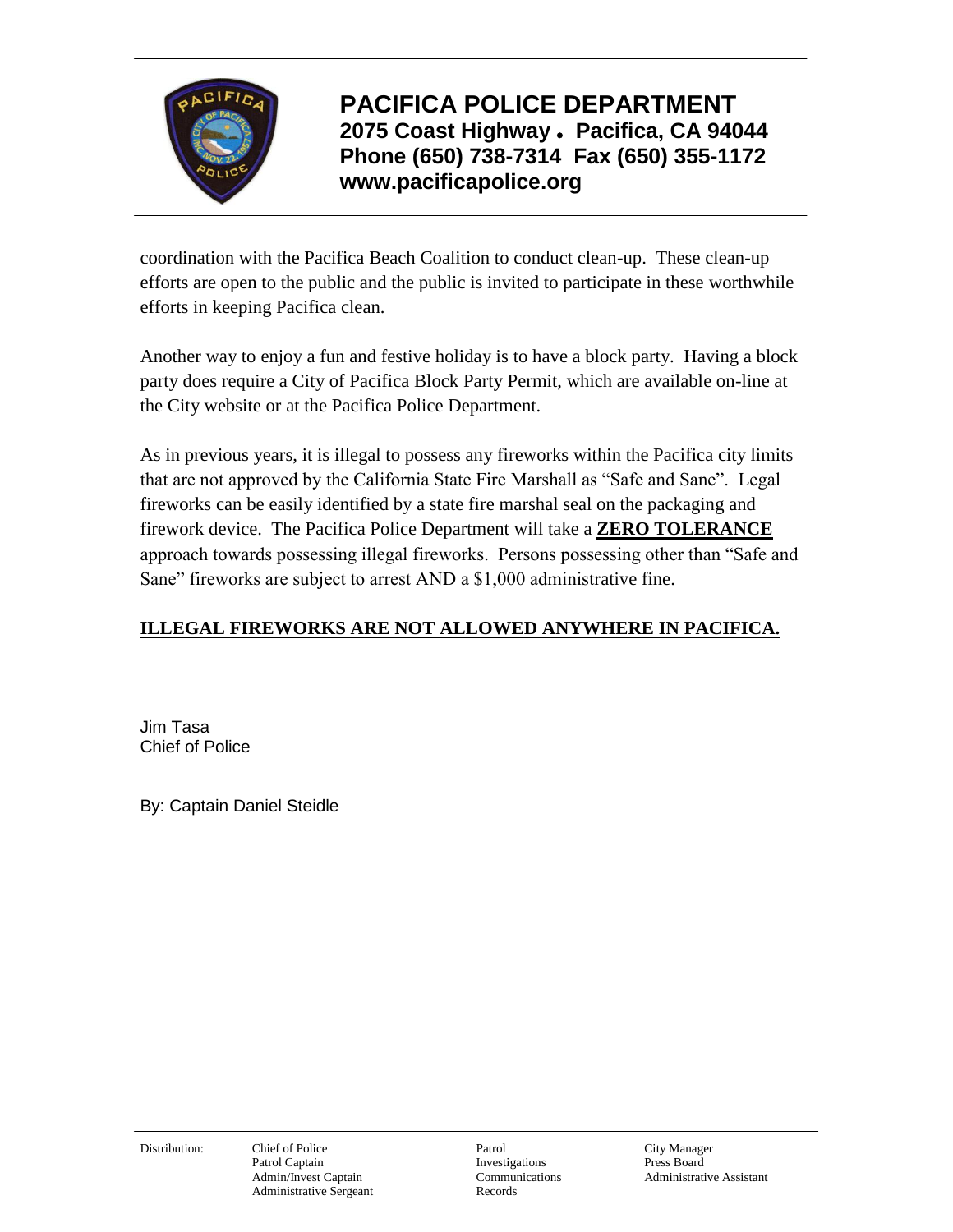

**PACIFICA POLICE DEPARTMENT 2075 Coast Highway Pacifica, CA 94044 Phone (650) 738-7314 Fax (650) 355-1172 www.pacificapolice.org**

coordination with the Pacifica Beach Coalition to conduct clean-up. These clean-up efforts are open to the public and the public is invited to participate in these worthwhile efforts in keeping Pacifica clean.

Another way to enjoy a fun and festive holiday is to have a block party. Having a block party does require a City of Pacifica Block Party Permit, which are available on-line at the City website or at the Pacifica Police Department.

As in previous years, it is illegal to possess any fireworks within the Pacifica city limits that are not approved by the California State Fire Marshall as "Safe and Sane". Legal fireworks can be easily identified by a state fire marshal seal on the packaging and firework device. The Pacifica Police Department will take a **ZERO TOLERANCE** approach towards possessing illegal fireworks. Persons possessing other than "Safe and Sane" fireworks are subject to arrest AND a \$1,000 administrative fine.

## **ILLEGAL FIREWORKS ARE NOT ALLOWED ANYWHERE IN PACIFICA.**

Jim Tasa Chief of Police

By: Captain Daniel Steidle